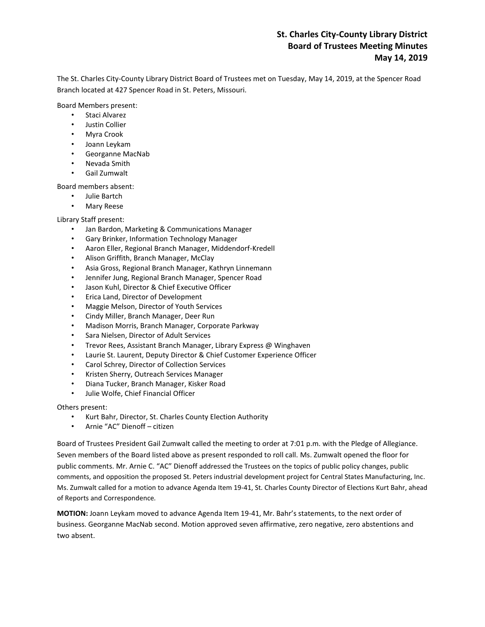# **St. Charles City-County Library District Board of Trustees Meeting Minutes May 14, 2019**

The St. Charles City-County Library District Board of Trustees met on Tuesday, May 14, 2019, at the Spencer Road Branch located at 427 Spencer Road in St. Peters, Missouri.

Board Members present:

- Staci Alvarez
- Justin Collier
- Myra Crook
- Joann Leykam
- Georganne MacNab
- Nevada Smith
- Gail Zumwalt

Board members absent:

- Julie Bartch
- Mary Reese

Library Staff present:

- Jan Bardon, Marketing & Communications Manager
- Gary Brinker, Information Technology Manager
- Aaron Eller, Regional Branch Manager, Middendorf-Kredell
- Alison Griffith, Branch Manager, McClay
- Asia Gross, Regional Branch Manager, Kathryn Linnemann
- Jennifer Jung, Regional Branch Manager, Spencer Road
- Jason Kuhl, Director & Chief Executive Officer
- Erica Land, Director of Development
- Maggie Melson, Director of Youth Services
- Cindy Miller, Branch Manager, Deer Run
- Madison Morris, Branch Manager, Corporate Parkway
- Sara Nielsen, Director of Adult Services
- Trevor Rees, Assistant Branch Manager, Library Express @ Winghaven
- Laurie St. Laurent, Deputy Director & Chief Customer Experience Officer
- Carol Schrey, Director of Collection Services
- Kristen Sherry, Outreach Services Manager
- Diana Tucker, Branch Manager, Kisker Road
- Julie Wolfe, Chief Financial Officer

Others present:

- Kurt Bahr, Director, St. Charles County Election Authority
- Arnie "AC" Dienoff citizen

Board of Trustees President Gail Zumwalt called the meeting to order at 7:01 p.m. with the Pledge of Allegiance. Seven members of the Board listed above as present responded to roll call. Ms. Zumwalt opened the floor for public comments. Mr. Arnie C. "AC" Dienoff addressed the Trustees on the topics of public policy changes, public comments, and opposition the proposed St. Peters industrial development project for Central States Manufacturing, Inc. Ms. Zumwalt called for a motion to advance Agenda Item 19-41, St. Charles County Director of Elections Kurt Bahr, ahead of Reports and Correspondence.

**MOTION:** Joann Leykam moved to advance Agenda Item 19-41, Mr. Bahr's statements, to the next order of business. Georganne MacNab second. Motion approved seven affirmative, zero negative, zero abstentions and two absent.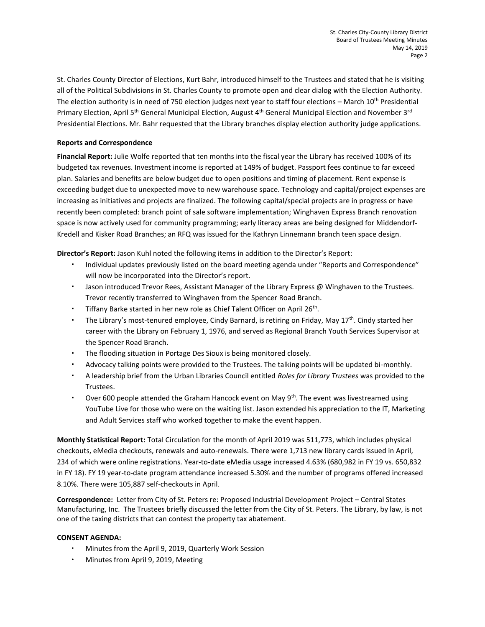St. Charles County Director of Elections, Kurt Bahr, introduced himself to the Trustees and stated that he is visiting all of the Political Subdivisions in St. Charles County to promote open and clear dialog with the Election Authority. The election authority is in need of 750 election judges next year to staff four elections – March  $10^{th}$  Presidential Primary Election, April 5<sup>th</sup> General Municipal Election, August 4<sup>th</sup> General Municipal Election and November 3<sup>rd</sup> Presidential Elections. Mr. Bahr requested that the Library branches display election authority judge applications.

## **Reports and Correspondence**

**Financial Report:** Julie Wolfe reported that ten months into the fiscal year the Library has received 100% of its budgeted tax revenues. Investment income is reported at 149% of budget. Passport fees continue to far exceed plan. Salaries and benefits are below budget due to open positions and timing of placement. Rent expense is exceeding budget due to unexpected move to new warehouse space. Technology and capital/project expenses are increasing as initiatives and projects are finalized. The following capital/special projects are in progress or have recently been completed: branch point of sale software implementation; Winghaven Express Branch renovation space is now actively used for community programming; early literacy areas are being designed for Middendorf-Kredell and Kisker Road Branches; an RFQ was issued for the Kathryn Linnemann branch teen space design.

**Director's Report:** Jason Kuhl noted the following items in addition to the Director's Report:

- Individual updates previously listed on the board meeting agenda under "Reports and Correspondence" will now be incorporated into the Director's report.
- Jason introduced Trevor Rees, Assistant Manager of the Library Express @ Winghaven to the Trustees. Trevor recently transferred to Winghaven from the Spencer Road Branch.
- " Tiffany Barke started in her new role as Chief Talent Officer on April 26<sup>th</sup>.
- The Library's most-tenured employee, Cindy Barnard, is retiring on Friday, May 17<sup>th</sup>. Cindy started her career with the Library on February 1, 1976, and served as Regional Branch Youth Services Supervisor at the Spencer Road Branch.
- The flooding situation in Portage Des Sioux is being monitored closely.
- Advocacy talking points were provided to the Trustees. The talking points will be updated bi-monthly.
- A leadership brief from the Urban Libraries Council entitled *Roles for Library Trustees* was provided to the Trustees.
- Over 600 people attended the Graham Hancock event on May  $9<sup>th</sup>$ . The event was livestreamed using YouTube Live for those who were on the waiting list. Jason extended his appreciation to the IT, Marketing and Adult Services staff who worked together to make the event happen.

**Monthly Statistical Report:** Total Circulation for the month of April 2019 was 511,773, which includes physical checkouts, eMedia checkouts, renewals and auto-renewals. There were 1,713 new library cards issued in April, 234 of which were online registrations. Year-to-date eMedia usage increased 4.63% (680,982 in FY 19 vs. 650,832 in FY 18). FY 19 year-to-date program attendance increased 5.30% and the number of programs offered increased 8.10%. There were 105,887 self-checkouts in April.

**Correspondence:** Letter from City of St. Peters re: Proposed Industrial Development Project – Central States Manufacturing, Inc. The Trustees briefly discussed the letter from the City of St. Peters. The Library, by law, is not one of the taxing districts that can contest the property tax abatement.

## **CONSENT AGENDA:**

- Minutes from the April 9, 2019, Quarterly Work Session
- Minutes from April 9, 2019, Meeting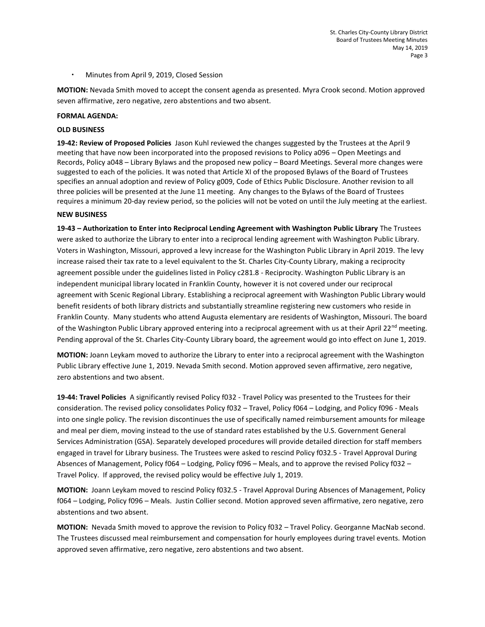Minutes from April 9, 2019, Closed Session

**MOTION:** Nevada Smith moved to accept the consent agenda as presented. Myra Crook second. Motion approved seven affirmative, zero negative, zero abstentions and two absent.

#### **FORMAL AGENDA:**

### **OLD BUSINESS**

**19-42: Review of Proposed Policies** Jason Kuhl reviewed the changes suggested by the Trustees at the April 9 meeting that have now been incorporated into the proposed revisions to Policy a096 – Open Meetings and Records, Policy a048 – Library Bylaws and the proposed new policy – Board Meetings. Several more changes were suggested to each of the policies. It was noted that Article XI of the proposed Bylaws of the Board of Trustees specifies an annual adoption and review of Policy g009, Code of Ethics Public Disclosure. Another revision to all three policies will be presented at the June 11 meeting. Any changes to the Bylaws of the Board of Trustees requires a minimum 20-day review period, so the policies will not be voted on until the July meeting at the earliest.

#### **NEW BUSINESS**

**19-43 – Authorization to Enter into Reciprocal Lending Agreement with Washington Public Library** The Trustees were asked to authorize the Library to enter into a reciprocal lending agreement with Washington Public Library. Voters in Washington, Missouri, approved a levy increase for the Washington Public Library in April 2019. The levy increase raised their tax rate to a level equivalent to the St. Charles City-County Library, making a reciprocity agreement possible under the guidelines listed in Policy c281.8 - Reciprocity. Washington Public Library is an independent municipal library located in Franklin County, however it is not covered under our reciprocal agreement with Scenic Regional Library. Establishing a reciprocal agreement with Washington Public Library would benefit residents of both library districts and substantially streamline registering new customers who reside in Franklin County. Many students who attend Augusta elementary are residents of Washington, Missouri. The board of the Washington Public Library approved entering into a reciprocal agreement with us at their April 22<sup>nd</sup> meeting. Pending approval of the St. Charles City-County Library board, the agreement would go into effect on June 1, 2019.

**MOTION:** Joann Leykam moved to authorize the Library to enter into a reciprocal agreement with the Washington Public Library effective June 1, 2019. Nevada Smith second. Motion approved seven affirmative, zero negative, zero abstentions and two absent.

**19-44: Travel Policies** A significantly revised Policy f032 - Travel Policy was presented to the Trustees for their consideration. The revised policy consolidates Policy f032 – Travel, Policy f064 – Lodging, and Policy f096 - Meals into one single policy. The revision discontinues the use of specifically named reimbursement amounts for mileage and meal per diem, moving instead to the use of standard rates established by the U.S. Government General Services Administration (GSA). Separately developed procedures will provide detailed direction for staff members engaged in travel for Library business. The Trustees were asked to rescind Policy f032.5 - Travel Approval During Absences of Management, Policy f064 – Lodging, Policy f096 – Meals, and to approve the revised Policy f032 – Travel Policy. If approved, the revised policy would be effective July 1, 2019.

**MOTION:** Joann Leykam moved to rescind Policy f032.5 - Travel Approval During Absences of Management, Policy f064 – Lodging, Policy f096 – Meals. Justin Collier second. Motion approved seven affirmative, zero negative, zero abstentions and two absent.

**MOTION:** Nevada Smith moved to approve the revision to Policy f032 – Travel Policy. Georganne MacNab second. The Trustees discussed meal reimbursement and compensation for hourly employees during travel events. Motion approved seven affirmative, zero negative, zero abstentions and two absent.